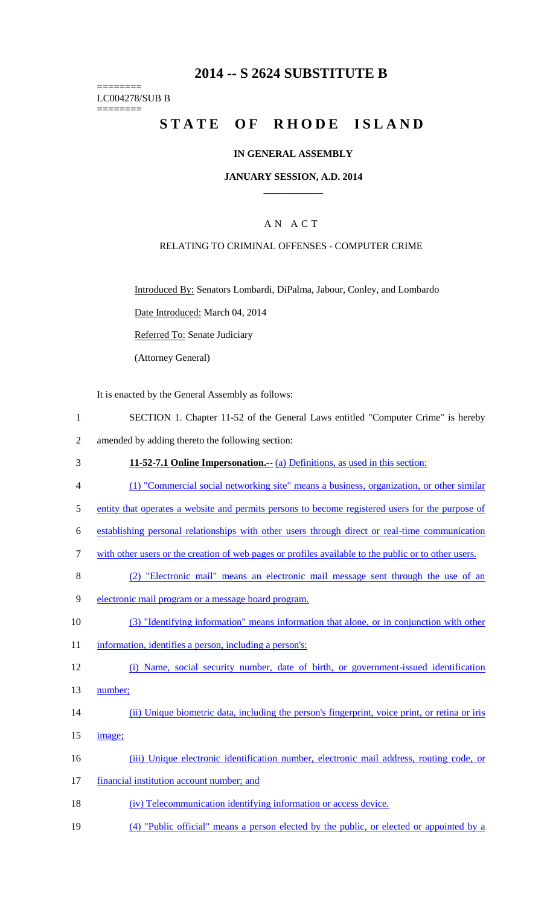## **2014 -- S 2624 SUBSTITUTE B**

======== LC004278/SUB B ========

# **STATE OF RHODE ISLAND**

## **IN GENERAL ASSEMBLY**

#### **JANUARY SESSION, A.D. 2014 \_\_\_\_\_\_\_\_\_\_\_\_**

## A N A C T

#### RELATING TO CRIMINAL OFFENSES - COMPUTER CRIME

Introduced By: Senators Lombardi, DiPalma, Jabour, Conley, and Lombardo

Date Introduced: March 04, 2014

Referred To: Senate Judiciary

(Attorney General)

It is enacted by the General Assembly as follows:

- 1 SECTION 1. Chapter 11-52 of the General Laws entitled "Computer Crime" is hereby
- 2 amended by adding thereto the following section:
- 3 **11-52-7.1 Online Impersonation.--** (a) Definitions, as used in this section:
- 4 (1) "Commercial social networking site" means a business, organization, or other similar
- 5 entity that operates a website and permits persons to become registered users for the purpose of
- 6 establishing personal relationships with other users through direct or real-time communication
- 7 with other users or the creation of web pages or profiles available to the public or to other users.
- 8 (2) "Electronic mail" means an electronic mail message sent through the use of an
- 9 electronic mail program or a message board program.
- 10 (3) "Identifying information" means information that alone, or in conjunction with other
- 11 information, identifies a person, including a person's:
- 12 (i) Name, social security number, date of birth, or government-issued identification
- 13 number;
- 14 (ii) Unique biometric data, including the person's fingerprint, voice print, or retina or iris
- 15 image;
- 16 (iii) Unique electronic identification number, electronic mail address, routing code, or
- 17 financial institution account number; and
- 18 (iv) Telecommunication identifying information or access device.
- 19 (4) "Public official" means a person elected by the public, or elected or appointed by a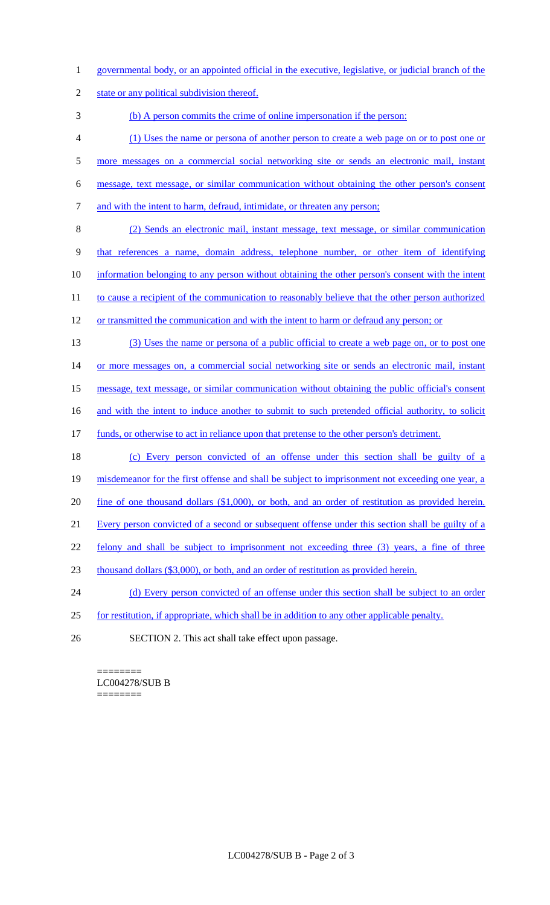- 1 governmental body, or an appointed official in the executive, legislative, or judicial branch of the
- 2 state or any political subdivision thereof.

3 (b) A person commits the crime of online impersonation if the person:

- 4 (1) Uses the name or persona of another person to create a web page on or to post one or
- 5 more messages on a commercial social networking site or sends an electronic mail, instant
- 6 message, text message, or similar communication without obtaining the other person's consent
- 7 and with the intent to harm, defraud, intimidate, or threaten any person;
- 8 (2) Sends an electronic mail, instant message, text message, or similar communication 9 that references a name, domain address, telephone number, or other item of identifying 10 information belonging to any person without obtaining the other person's consent with the intent 11 to cause a recipient of the communication to reasonably believe that the other person authorized
- 12 or transmitted the communication and with the intent to harm or defraud any person; or
- 13 (3) Uses the name or persona of a public official to create a web page on, or to post one 14 or more messages on, a commercial social networking site or sends an electronic mail, instant 15 message, text message, or similar communication without obtaining the public official's consent

16 and with the intent to induce another to submit to such pretended official authority, to solicit

- 17 funds, or otherwise to act in reliance upon that pretense to the other person's detriment.
- 18 (c) Every person convicted of an offense under this section shall be guilty of a
- 19 misdemeanor for the first offense and shall be subject to imprisonment not exceeding one year, a
- 20 fine of one thousand dollars (\$1,000), or both, and an order of restitution as provided herein.
- 21 Every person convicted of a second or subsequent offense under this section shall be guilty of a
- 22 felony and shall be subject to imprisonment not exceeding three (3) years, a fine of three
- 23 thousand dollars (\$3,000), or both, and an order of restitution as provided herein.
- 24 (d) Every person convicted of an offense under this section shall be subject to an order
- 25 for restitution, if appropriate, which shall be in addition to any other applicable penalty.
- 26 SECTION 2. This act shall take effect upon passage.

### ======== LC004278/SUB B

========